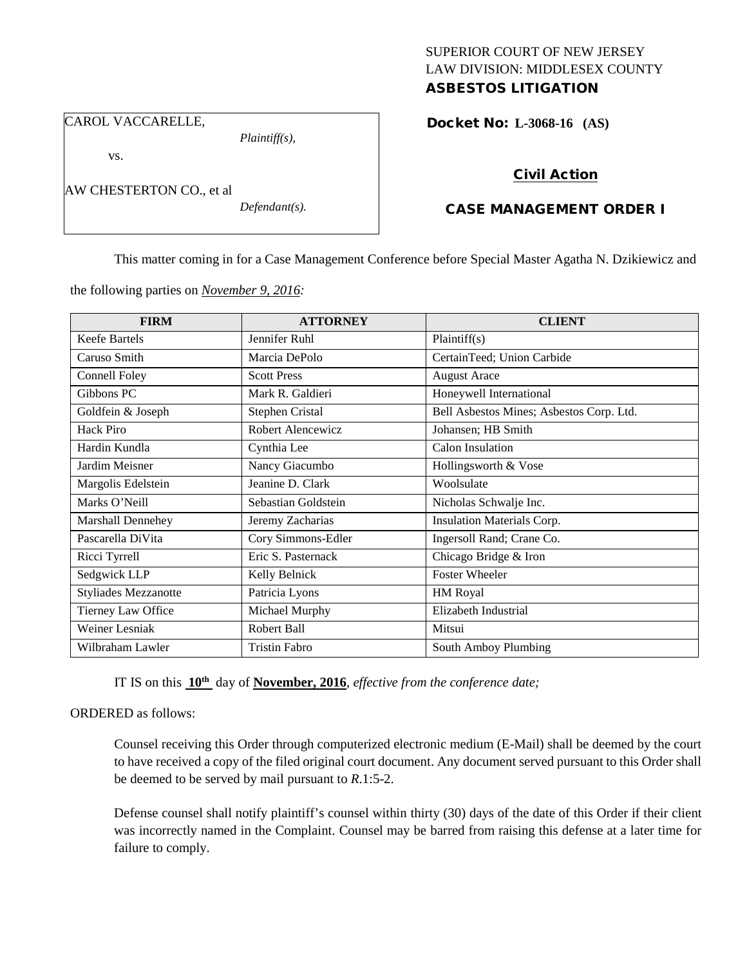# SUPERIOR COURT OF NEW JERSEY LAW DIVISION: MIDDLESEX COUNTY

# ASBESTOS LITIGATION

CAROL VACCARELLE,

*Plaintiff(s),*

vs.

|  | AW CHESTERTON CO., et al |  |
|--|--------------------------|--|
|--|--------------------------|--|

*Defendant(s).*

Docket No: **L-3068-16 (AS)** 

# Civil Action

# CASE MANAGEMENT ORDER I

This matter coming in for a Case Management Conference before Special Master Agatha N. Dzikiewicz and

the following parties on *November 9, 2016:*

| <b>FIRM</b>                 | <b>ATTORNEY</b>      | <b>CLIENT</b>                            |
|-----------------------------|----------------------|------------------------------------------|
| <b>Keefe Bartels</b>        | Jennifer Ruhl        | Plaintiff(s)                             |
| Caruso Smith                | Marcia DePolo        | CertainTeed; Union Carbide               |
| Connell Foley               | <b>Scott Press</b>   | <b>August Arace</b>                      |
| Gibbons PC                  | Mark R. Galdieri     | Honeywell International                  |
| Goldfein & Joseph           | Stephen Cristal      | Bell Asbestos Mines; Asbestos Corp. Ltd. |
| Hack Piro                   | Robert Alencewicz    | Johansen; HB Smith                       |
| Hardin Kundla               | Cynthia Lee          | Calon Insulation                         |
| Jardim Meisner              | Nancy Giacumbo       | Hollingsworth & Vose                     |
| Margolis Edelstein          | Jeanine D. Clark     | Woolsulate                               |
| Marks O'Neill               | Sebastian Goldstein  | Nicholas Schwalje Inc.                   |
| Marshall Dennehey           | Jeremy Zacharias     | <b>Insulation Materials Corp.</b>        |
| Pascarella DiVita           | Cory Simmons-Edler   | Ingersoll Rand; Crane Co.                |
| Ricci Tyrrell               | Eric S. Pasternack   | Chicago Bridge & Iron                    |
| Sedgwick LLP                | Kelly Belnick        | <b>Foster Wheeler</b>                    |
| <b>Styliades Mezzanotte</b> | Patricia Lyons       | HM Royal                                 |
| Tierney Law Office          | Michael Murphy       | Elizabeth Industrial                     |
| Weiner Lesniak              | Robert Ball          | Mitsui                                   |
| Wilbraham Lawler            | <b>Tristin Fabro</b> | South Amboy Plumbing                     |

IT IS on this **10th** day of **November, 2016**, *effective from the conference date;*

## ORDERED as follows:

Counsel receiving this Order through computerized electronic medium (E-Mail) shall be deemed by the court to have received a copy of the filed original court document. Any document served pursuant to this Order shall be deemed to be served by mail pursuant to *R*.1:5-2.

Defense counsel shall notify plaintiff's counsel within thirty (30) days of the date of this Order if their client was incorrectly named in the Complaint. Counsel may be barred from raising this defense at a later time for failure to comply.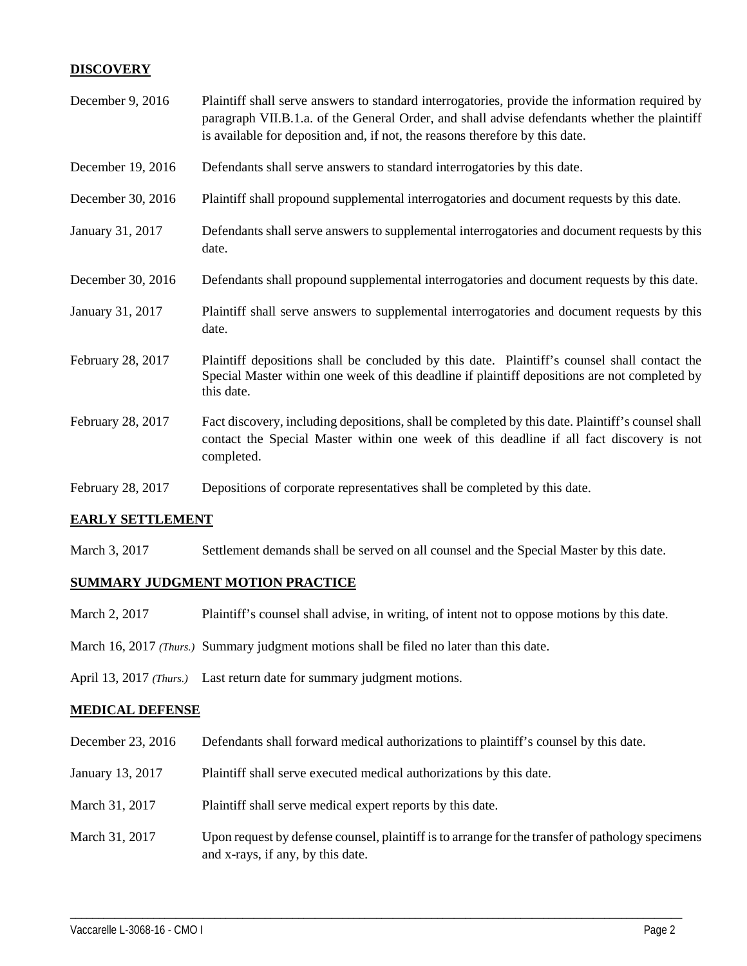## **DISCOVERY**

| December 9, 2016  | Plaintiff shall serve answers to standard interrogatories, provide the information required by<br>paragraph VII.B.1.a. of the General Order, and shall advise defendants whether the plaintiff<br>is available for deposition and, if not, the reasons therefore by this date. |
|-------------------|--------------------------------------------------------------------------------------------------------------------------------------------------------------------------------------------------------------------------------------------------------------------------------|
| December 19, 2016 | Defendants shall serve answers to standard interrogatories by this date.                                                                                                                                                                                                       |
| December 30, 2016 | Plaintiff shall propound supplemental interrogatories and document requests by this date.                                                                                                                                                                                      |
| January 31, 2017  | Defendants shall serve answers to supplemental interrogatories and document requests by this<br>date.                                                                                                                                                                          |
| December 30, 2016 | Defendants shall propound supplemental interrogatories and document requests by this date.                                                                                                                                                                                     |
| January 31, 2017  | Plaintiff shall serve answers to supplemental interrogatories and document requests by this<br>date.                                                                                                                                                                           |
| February 28, 2017 | Plaintiff depositions shall be concluded by this date. Plaintiff's counsel shall contact the<br>Special Master within one week of this deadline if plaintiff depositions are not completed by<br>this date.                                                                    |
| February 28, 2017 | Fact discovery, including depositions, shall be completed by this date. Plaintiff's counsel shall<br>contact the Special Master within one week of this deadline if all fact discovery is not<br>completed.                                                                    |
| February 28, 2017 | Depositions of corporate representatives shall be completed by this date.                                                                                                                                                                                                      |

## **EARLY SETTLEMENT**

March 3, 2017 Settlement demands shall be served on all counsel and the Special Master by this date.

#### **SUMMARY JUDGMENT MOTION PRACTICE**

- March 2, 2017 Plaintiff's counsel shall advise, in writing, of intent not to oppose motions by this date.
- March 16, 2017 *(Thurs.)* Summary judgment motions shall be filed no later than this date.

April 13, 2017 *(Thurs.)* Last return date for summary judgment motions.

#### **MEDICAL DEFENSE**

- December 23, 2016 Defendants shall forward medical authorizations to plaintiff's counsel by this date.
- January 13, 2017 Plaintiff shall serve executed medical authorizations by this date.
- March 31, 2017 Plaintiff shall serve medical expert reports by this date.
- March 31, 2017 Upon request by defense counsel, plaintiff is to arrange for the transfer of pathology specimens and x-rays, if any, by this date.

\_\_\_\_\_\_\_\_\_\_\_\_\_\_\_\_\_\_\_\_\_\_\_\_\_\_\_\_\_\_\_\_\_\_\_\_\_\_\_\_\_\_\_\_\_\_\_\_\_\_\_\_\_\_\_\_\_\_\_\_\_\_\_\_\_\_\_\_\_\_\_\_\_\_\_\_\_\_\_\_\_\_\_\_\_\_\_\_\_\_\_\_\_\_\_\_\_\_\_\_\_\_\_\_\_\_\_\_\_\_